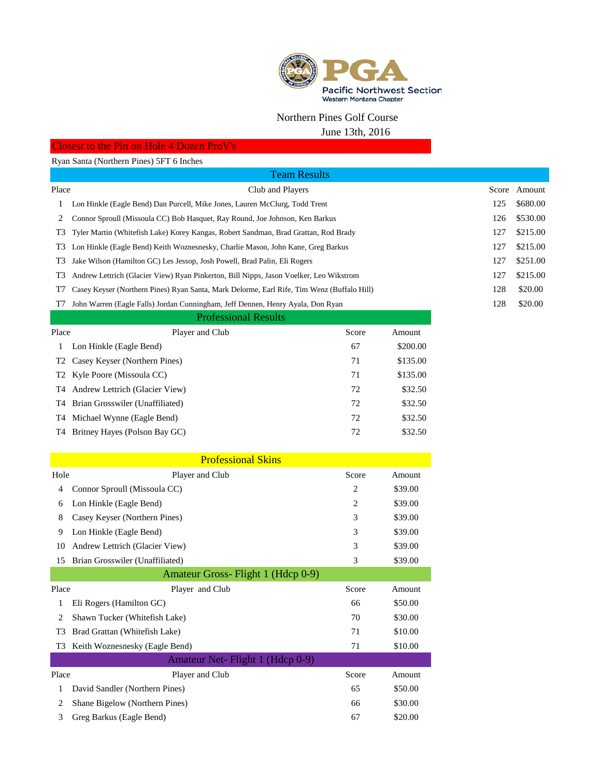

## Northern Pines Golf Course

June 13th, 2016

## Closest to the Pin on Hole 4 Dozen ProV's

Ryan Santa (Northern Pines) 5FT 6 Inches

|       | <b>Team Results</b>                                                                        |       |          |
|-------|--------------------------------------------------------------------------------------------|-------|----------|
| Place | Club and Players                                                                           | Score | Amount   |
|       | Lon Hinkle (Eagle Bend) Dan Purcell, Mike Jones, Lauren McClurg, Todd Trent                | 125   | \$680.00 |
| 2     | Connor Sproull (Missoula CC) Bob Hasquet, Ray Round, Joe Johnson, Ken Barkus               | 126   | \$530.00 |
| T3-   | Tyler Martin (Whitefish Lake) Korey Kangas, Robert Sandman, Brad Grattan, Rod Brady        | 127   | \$215.00 |
| T3-   | Lon Hinkle (Eagle Bend) Keith Woznesnesky, Charlie Mason, John Kane, Greg Barkus           | 127   | \$215.00 |
| T3    | Jake Wilson (Hamilton GC) Les Jessop, Josh Powell, Brad Palin, Eli Rogers                  | 127   | \$251.00 |
| T3    | Andrew Lettrich (Glacier View) Ryan Pinkerton, Bill Nipps, Jason Voelker, Leo Wikstrom     | 127   | \$215.00 |
| T7    | Casey Keyser (Northern Pines) Ryan Santa, Mark Delorme, Earl Rife, Tim Wenz (Buffalo Hill) | 128   | \$20.00  |
| T     | John Warren (Eagle Falls) Jordan Cunningham, Jeff Dennen, Henry Ayala, Don Ryan            | 128   | \$20.00  |
|       | <b>Professional Results</b>                                                                |       |          |
| Place | Player and Club<br>Score<br>Amount                                                         |       |          |
|       |                                                                                            |       |          |

| r iace | r layer ally Club                            | <b>D</b> core | Allioulit |
|--------|----------------------------------------------|---------------|-----------|
|        | Lon Hinkle (Eagle Bend)                      | 67            | \$200.00  |
|        | T <sub>2</sub> Casey Keyser (Northern Pines) | 71            | \$135.00  |
|        | T <sub>2</sub> Kyle Poore (Missoula CC)      | 71            | \$135.00  |
|        | T4 Andrew Lettrich (Glacier View)            | 72            | \$32.50   |
|        | T4 Brian Grosswiler (Unaffiliated)           | 72            | \$32.50   |
|        | T4 Michael Wynne (Eagle Bend)                | 72            | \$32.50   |
|        | T4 Britney Hayes (Polson Bay GC)             | 72            | \$32.50   |

|       | <b>Professional Skins</b>          |                |         |
|-------|------------------------------------|----------------|---------|
| Hole  | Player and Club                    | Score          | Amount  |
| 4     | Connor Sproull (Missoula CC)       | 2              | \$39.00 |
| 6     | Lon Hinkle (Eagle Bend)            | $\overline{2}$ | \$39.00 |
| 8     | Casey Keyser (Northern Pines)      | 3              | \$39.00 |
| 9     | Lon Hinkle (Eagle Bend)            | 3              | \$39.00 |
| 10    | Andrew Lettrich (Glacier View)     | 3              | \$39.00 |
| 15    | Brian Grosswiler (Unaffiliated)    | 3              | \$39.00 |
|       | Amateur Gross- Flight 1 (Hdcp 0-9) |                |         |
| Place | Player and Club                    | Score          | Amount  |
| 1     | Eli Rogers (Hamilton GC)           | 66             | \$50.00 |
| 2     | Shawn Tucker (Whitefish Lake)      | 70             | \$30.00 |
| T3    | Brad Grattan (Whitefish Lake)      | 71             | \$10.00 |
| T3    | Keith Woznesnesky (Eagle Bend)     | 71             | \$10.00 |
|       | Amateur Net-Flight 1 (Hdcp 0-9)    |                |         |
| Place | Player and Club                    | Score          | Amount  |
| 1     | David Sandler (Northern Pines)     | 65             | \$50.00 |
| 2     | Shane Bigelow (Northern Pines)     | 66             | \$30.00 |
| 3     | Greg Barkus (Eagle Bend)           | 67             | \$20.00 |